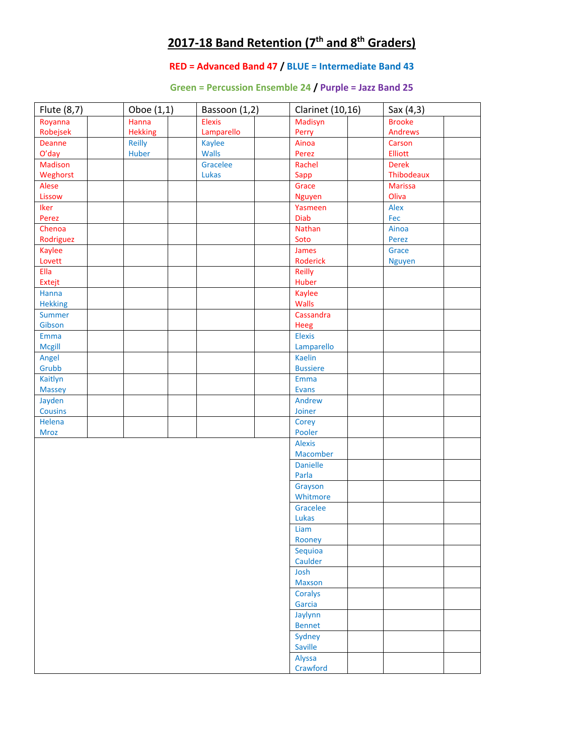# **2017‐18 Band Retention (7th and 8th Graders)**

### **RED = Advanced Band 47 / BLUE = Intermediate Band 43**

#### **Green = Percussion Ensemble 24 / Purple = Jazz Band 25**

| Flute (8,7)    | Oboe (1,1)     | Bassoon (1,2) | <b>Clarinet</b> (10,16) | Sax (4,3)      |  |
|----------------|----------------|---------------|-------------------------|----------------|--|
| Royanna        | Hanna          | <b>Elexis</b> | Madisyn                 | <b>Brooke</b>  |  |
| Robejsek       | <b>Hekking</b> | Lamparello    | Perry                   | <b>Andrews</b> |  |
| Deanne         | Reilly         | <b>Kaylee</b> | Ainoa                   | Carson         |  |
| O'day          | Huber          | <b>Walls</b>  | Perez                   | Elliott        |  |
| <b>Madison</b> |                | Gracelee      | Rachel                  | <b>Derek</b>   |  |
| Weghorst       |                | Lukas         | Sapp                    | Thibodeaux     |  |
| Alese          |                |               | Grace                   | <b>Marissa</b> |  |
| Lissow         |                |               | <b>Nguyen</b>           | Oliva          |  |
| Iker           |                |               | Yasmeen                 | Alex           |  |
| Perez          |                |               | Diab                    | Fec            |  |
| Chenoa         |                |               | Nathan                  | Ainoa          |  |
| Rodriguez      |                |               | Soto                    | Perez          |  |
| Kaylee         |                |               | James                   | Grace          |  |
| Lovett         |                |               | Roderick                | <b>Nguyen</b>  |  |
| Ella           |                |               | Reilly                  |                |  |
| Extejt         |                |               | Huber                   |                |  |
| Hanna          |                |               | Kaylee                  |                |  |
| <b>Hekking</b> |                |               | <b>Walls</b>            |                |  |
| Summer         |                |               | Cassandra               |                |  |
| Gibson         |                |               | Heeg                    |                |  |
| Emma           |                |               | <b>Elexis</b>           |                |  |
| <b>Mcgill</b>  |                |               | Lamparello              |                |  |
| Angel          |                |               | <b>Kaelin</b>           |                |  |
| Grubb          |                |               | <b>Bussiere</b>         |                |  |
| Kaitlyn        |                |               | Emma                    |                |  |
| <b>Massey</b>  |                |               | <b>Evans</b>            |                |  |
| Jayden         |                |               | Andrew                  |                |  |
| <b>Cousins</b> |                |               | Joiner                  |                |  |
| Helena         |                |               | Corey                   |                |  |
| Mroz           |                |               | Pooler                  |                |  |
|                |                |               | <b>Alexis</b>           |                |  |
|                |                |               | Macomber                |                |  |
|                |                |               | <b>Danielle</b>         |                |  |
|                |                |               | Parla                   |                |  |
|                |                |               | Grayson                 |                |  |
|                |                |               | Whitmore                |                |  |
|                |                |               | Gracelee                |                |  |
|                |                |               | Lukas                   |                |  |
|                |                |               | Liam                    |                |  |
|                |                |               | Rooney                  |                |  |
|                |                |               | Sequioa                 |                |  |
|                |                |               | Caulder                 |                |  |
|                |                |               | Josh                    |                |  |
|                |                |               | <b>Maxson</b>           |                |  |
|                |                |               | Coralys                 |                |  |
|                |                |               | Garcia                  |                |  |
|                |                |               | Jaylynn                 |                |  |
|                |                |               | <b>Bennet</b>           |                |  |
|                |                |               | Sydney                  |                |  |
|                |                |               | Saville                 |                |  |
|                |                |               | Alyssa                  |                |  |
|                |                |               | Crawford                |                |  |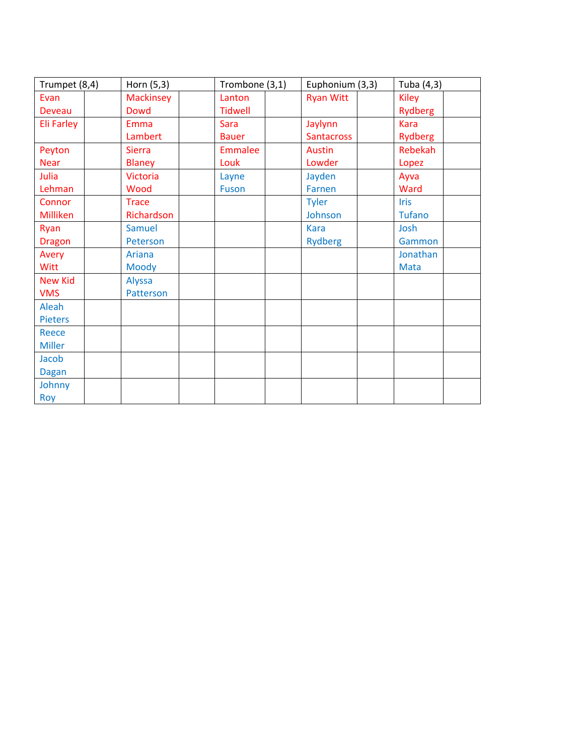| Trumpet (8,4)  | Horn (5,3)       | Trombone (3,1) | Euphonium (3,3)   | Tuba (4,3)     |
|----------------|------------------|----------------|-------------------|----------------|
| Evan           | <b>Mackinsey</b> | Lanton         | <b>Ryan Witt</b>  | <b>Kiley</b>   |
| <b>Deveau</b>  | <b>Dowd</b>      | <b>Tidwell</b> |                   | <b>Rydberg</b> |
| Eli Farley     | Emma             | <b>Sara</b>    | Jaylynn           | <b>Kara</b>    |
|                | Lambert          | <b>Bauer</b>   | <b>Santacross</b> | <b>Rydberg</b> |
| Peyton         | <b>Sierra</b>    | <b>Emmalee</b> | Austin            | Rebekah        |
| <b>Near</b>    | <b>Blaney</b>    | Louk           | Lowder            | Lopez          |
| Julia          | <b>Victoria</b>  | Layne          | Jayden            | Ayva           |
| Lehman         | Wood             | <b>Fuson</b>   | Farnen            | Ward           |
| Connor         | <b>Trace</b>     |                | <b>Tyler</b>      | <b>Iris</b>    |
| Milliken       | Richardson       |                | Johnson           | <b>Tufano</b>  |
| Ryan           | <b>Samuel</b>    |                | <b>Kara</b>       | Josh           |
| <b>Dragon</b>  | Peterson         |                | <b>Rydberg</b>    | Gammon         |
| Avery          | Ariana           |                |                   | Jonathan       |
| Witt           | Moody            |                |                   | <b>Mata</b>    |
| <b>New Kid</b> | Alyssa           |                |                   |                |
| <b>VMS</b>     | Patterson        |                |                   |                |
| Aleah          |                  |                |                   |                |
| <b>Pieters</b> |                  |                |                   |                |
| <b>Reece</b>   |                  |                |                   |                |
| <b>Miller</b>  |                  |                |                   |                |
| Jacob          |                  |                |                   |                |
| <b>Dagan</b>   |                  |                |                   |                |
| Johnny         |                  |                |                   |                |
| Roy            |                  |                |                   |                |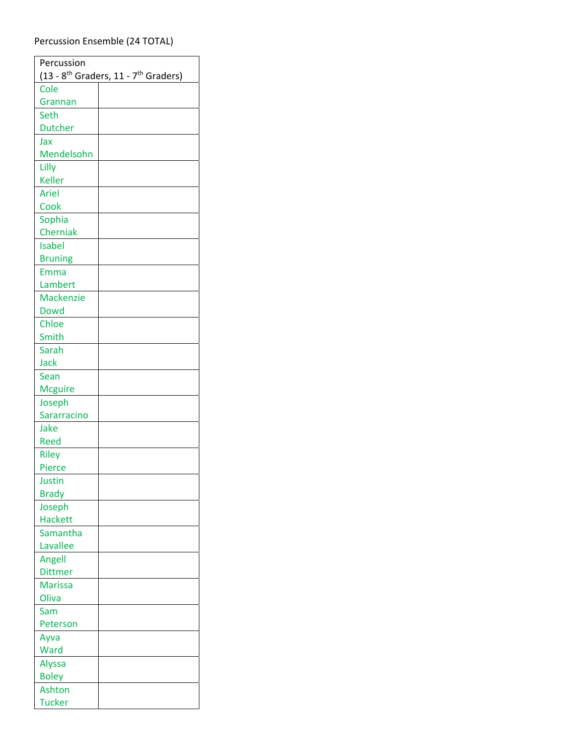#### Percussion Ensemble (24 TOTAL)

 $\overline{a}$ 

| Percussion                                                     |  |  |  |  |
|----------------------------------------------------------------|--|--|--|--|
| $(13 - 8$ <sup>th</sup> Graders, 11 - 7 <sup>th</sup> Graders) |  |  |  |  |
| Cole                                                           |  |  |  |  |
| Grannan                                                        |  |  |  |  |
| Seth                                                           |  |  |  |  |
| <b>Dutcher</b>                                                 |  |  |  |  |
| Jax                                                            |  |  |  |  |
| Mendelsohn                                                     |  |  |  |  |
| Lilly                                                          |  |  |  |  |
| <b>Keller</b>                                                  |  |  |  |  |
| <b>Ariel</b>                                                   |  |  |  |  |
| Cook                                                           |  |  |  |  |
| Sophia                                                         |  |  |  |  |
| Cherniak                                                       |  |  |  |  |
| <b>Isabel</b>                                                  |  |  |  |  |
| <b>Bruning</b>                                                 |  |  |  |  |
| Emma                                                           |  |  |  |  |
| Lambert                                                        |  |  |  |  |
| <b>Mackenzie</b>                                               |  |  |  |  |
| <b>Dowd</b>                                                    |  |  |  |  |
| Chloe                                                          |  |  |  |  |
| Smith                                                          |  |  |  |  |
| Sarah                                                          |  |  |  |  |
| Jack                                                           |  |  |  |  |
| Sean                                                           |  |  |  |  |
| <b>Mcguire</b>                                                 |  |  |  |  |
| Joseph                                                         |  |  |  |  |
| Sararracino                                                    |  |  |  |  |
| Jake                                                           |  |  |  |  |
| Reed                                                           |  |  |  |  |
| <b>Riley</b>                                                   |  |  |  |  |
| Pierce                                                         |  |  |  |  |
| Justin                                                         |  |  |  |  |
| <b>Brady</b>                                                   |  |  |  |  |
| Joseph                                                         |  |  |  |  |
| <b>Hackett</b>                                                 |  |  |  |  |
| Samantha                                                       |  |  |  |  |
| Lavallee                                                       |  |  |  |  |
| Angell                                                         |  |  |  |  |
| <b>Dittmer</b>                                                 |  |  |  |  |
| <b>Marissa</b>                                                 |  |  |  |  |
| Oliva                                                          |  |  |  |  |
| Sam                                                            |  |  |  |  |
| Peterson                                                       |  |  |  |  |
| Ayva                                                           |  |  |  |  |
| Ward                                                           |  |  |  |  |
| Alyssa                                                         |  |  |  |  |
| <b>Boley</b>                                                   |  |  |  |  |
| Ashton                                                         |  |  |  |  |
| <b>Tucker</b>                                                  |  |  |  |  |